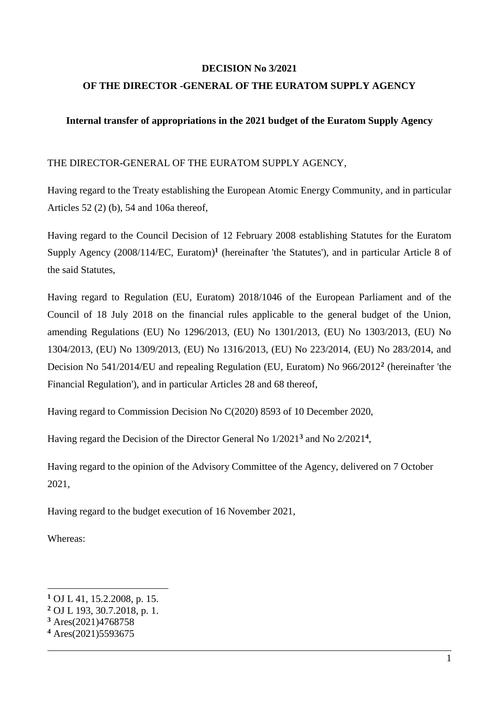### **DECISION No 3/2021**

## **OF THE DIRECTOR -GENERAL OF THE EURATOM SUPPLY AGENCY**

## **Internal transfer of appropriations in the 2021 budget of the Euratom Supply Agency**

### THE DIRECTOR-GENERAL OF THE EURATOM SUPPLY AGENCY,

Having regard to the Treaty establishing the European Atomic Energy Community, and in particular Articles 52 (2) (b), 54 and 106a thereof,

Having regard to the Council Decision of 12 February 2008 establishing Statutes for the Euratom Supply Agency (2008/114/EC, Euratom)**<sup>1</sup>** (hereinafter 'the Statutes'), and in particular Article 8 of the said Statutes,

Having regard to Regulation (EU, Euratom) 2018/1046 of the European Parliament and of the Council of 18 July 2018 on the financial rules applicable to the general budget of the Union, amending Regulations (EU) No 1296/2013, (EU) No 1301/2013, (EU) No 1303/2013, (EU) No 1304/2013, (EU) No 1309/2013, (EU) No 1316/2013, (EU) No 223/2014, (EU) No 283/2014, and Decision No 541/2014/EU and repealing Regulation (EU, Euratom) No 966/2012**<sup>2</sup>** (hereinafter 'the Financial Regulation'), and in particular Articles 28 and 68 thereof,

Having regard to Commission Decision No C(2020) 8593 of 10 December 2020,

Having regard the Decision of the Director General No 1/2021**<sup>3</sup>** and No 2/2021**<sup>4</sup>** ,

Having regard to the opinion of the Advisory Committee of the Agency, delivered on 7 October 2021,

Having regard to the budget execution of 16 November 2021,

Whereas:

1

**<sup>1</sup>** OJ L 41, 15.2.2008, p. 15.

**<sup>2</sup>** OJ L 193, 30.7.2018, p. 1.

**<sup>3</sup>** Ares(2021)4768758

**<sup>4</sup>** Ares(2021)5593675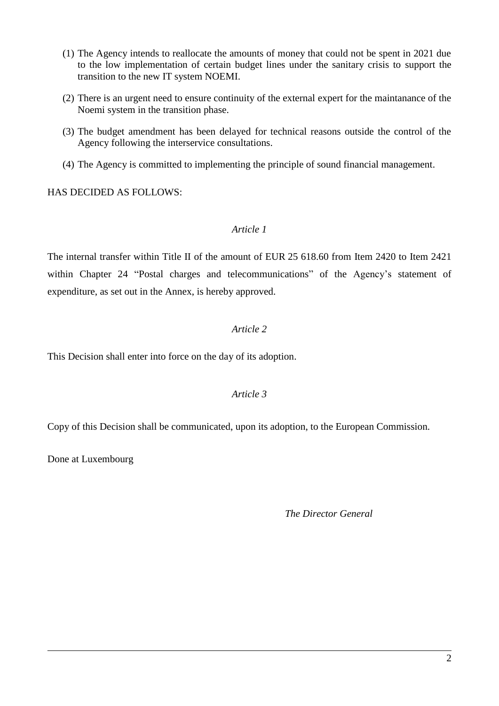- (1) The Agency intends to reallocate the amounts of money that could not be spent in 2021 due to the low implementation of certain budget lines under the sanitary crisis to support the transition to the new IT system NOEMI.
- (2) There is an urgent need to ensure continuity of the external expert for the maintanance of the Noemi system in the transition phase.
- (3) The budget amendment has been delayed for technical reasons outside the control of the Agency following the interservice consultations.
- (4) The Agency is committed to implementing the principle of sound financial management.

HAS DECIDED AS FOLLOWS:

## *Article 1*

The internal transfer within Title II of the amount of EUR 25 618.60 from Item 2420 to Item 2421 within Chapter 24 "Postal charges and telecommunications" of the Agency's statement of expenditure, as set out in the Annex, is hereby approved.

## *Article 2*

This Decision shall enter into force on the day of its adoption.

# *Article 3*

Copy of this Decision shall be communicated, upon its adoption, to the European Commission.

Done at Luxembourg

*The Director General*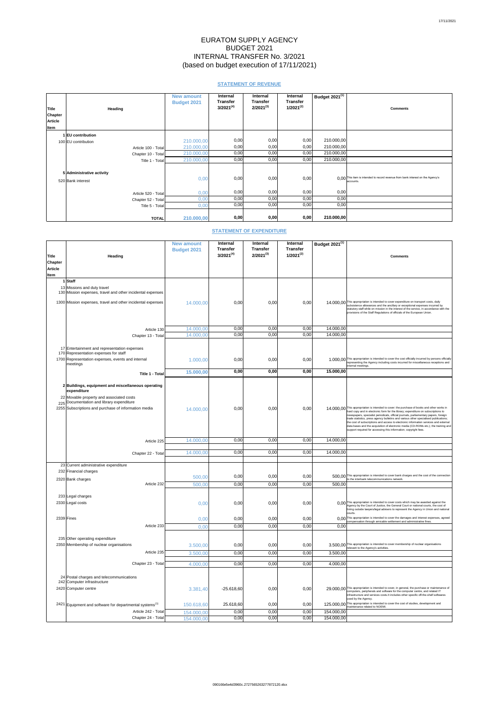# EURATOM SUPPLY AGENCY BUDGET 2021 INTERNAL TRANSFER No. 3/2021 (based on budget execution of 17/11/2021)

# **STATEMENT OF REVENUE**

| <b>Title</b>   | <b>Heading</b>            | <b>New amount</b><br><b>Budget 2021</b> | <b>Internal</b><br><b>Transfer</b><br>$3/2021^{(4)}$ | <b>Internal</b><br><b>Transfer</b><br>$2/2021^{(3)}$ | <b>Internal</b><br><b>Transfer</b><br>$1/2021^{(2)}$ | $'$ Budget 2021 $\overline{^{(1)}}$ . | <b>Comments</b>                                                                                           |
|----------------|---------------------------|-----------------------------------------|------------------------------------------------------|------------------------------------------------------|------------------------------------------------------|---------------------------------------|-----------------------------------------------------------------------------------------------------------|
| <b>Chapter</b> |                           |                                         |                                                      |                                                      |                                                      |                                       |                                                                                                           |
| <b>Article</b> |                           |                                         |                                                      |                                                      |                                                      |                                       |                                                                                                           |
| Item           |                           |                                         |                                                      |                                                      |                                                      |                                       |                                                                                                           |
|                | 1EU contribution          |                                         |                                                      |                                                      |                                                      |                                       |                                                                                                           |
|                | 100 EU contribution       | 210.000,00                              | 0,00                                                 | 0,00                                                 | 0,00                                                 | 210.000,00                            |                                                                                                           |
|                | Article 100 - Total       | 210.000,00                              | 0,00                                                 | 0,00                                                 | 0,00                                                 | 210.000,00                            |                                                                                                           |
|                | Chapter 10 - Total        | 210.000,00                              | 0,00                                                 | 0,00                                                 | 0,00                                                 | 210.000,00                            |                                                                                                           |
|                | Title 1 - Total           | 210.000,00                              | 0,00                                                 | 0,00                                                 | 0,00                                                 | 210.000,00                            |                                                                                                           |
|                |                           |                                         |                                                      |                                                      |                                                      |                                       |                                                                                                           |
|                | 5 Administrative activity |                                         |                                                      |                                                      |                                                      |                                       |                                                                                                           |
|                | 520 Bank interest         | 0,00                                    | 0,00                                                 | 0,00                                                 | 0,00                                                 |                                       | $0,00$ <sup>This item is intended to record revenue from bank interest on the Agency's</sup><br>accounts. |
|                | Article 520 - Total       | 0,00                                    | 0,00                                                 | 0,00                                                 | 0,00                                                 | 0,00                                  |                                                                                                           |
|                | Chapter 52 - Total        | 0,00                                    | 0,00                                                 | 0,00                                                 | 0,00                                                 | 0,00                                  |                                                                                                           |
|                | Title 5 - Total           | 0,00                                    | 0,00                                                 | 0,00                                                 | 0,00                                                 | 0,00                                  |                                                                                                           |
|                |                           |                                         |                                                      |                                                      |                                                      |                                       |                                                                                                           |
|                | <b>TOTAL</b>              | 210.000,00                              | 0,00                                                 | 0,00                                                 | 0,00                                                 | 210.000,00                            |                                                                                                           |

# **STATEMENT OF EXPENDITURE**

| Title<br><b>Chapter</b><br><b>Article</b><br>Item | Heading                                                                                                                                                             | <b>New amount</b><br><b>Budget 2021</b> | <b>Internal</b><br><b>Transfer</b><br>$3/2021^{(4)}$ | <b>Internal</b><br><b>Transfer</b><br>$2/2021^{(3)}$ | <b>Internal</b><br><b>Transfer</b><br>$1/2021^{(2)}$ | Budget $2021^{(1)}$ | <b>Comments</b>                                                                                                                                                                                                                                                                                                                               |
|---------------------------------------------------|---------------------------------------------------------------------------------------------------------------------------------------------------------------------|-----------------------------------------|------------------------------------------------------|------------------------------------------------------|------------------------------------------------------|---------------------|-----------------------------------------------------------------------------------------------------------------------------------------------------------------------------------------------------------------------------------------------------------------------------------------------------------------------------------------------|
|                                                   | 1 Staff<br>13 Missions and duty travel<br>130 Mission expenses, travel and other incidental expenses<br>1300 Mission expenses, travel and other incidental expenses | 14.000,00                               | 0,00                                                 | 0,00                                                 | 0,00                                                 |                     | 14.000,00 This appropriation is intended to cover expenditure on transport costs, daily<br>subsistence allowances and the ancillary or exceptional expenses incurred by<br>statutory staff while on mission in the interest of the service, in accordance with the<br>provisions of the Staff Regulations of officials of the European Union. |

|              | Article 130                                                         | 14.000,00  | 0,00         | 0,00 | 0,00 | 14.000,00                |                                                                                                                                                                                          |
|--------------|---------------------------------------------------------------------|------------|--------------|------|------|--------------------------|------------------------------------------------------------------------------------------------------------------------------------------------------------------------------------------|
|              | Chapter 13 - Total                                                  | 14.000,00  | 0,00         | 0,00 | 0,00 | 14.000,00                |                                                                                                                                                                                          |
|              |                                                                     |            |              |      |      |                          |                                                                                                                                                                                          |
|              | 17 Entertainment and representation expenses                        |            |              |      |      |                          |                                                                                                                                                                                          |
|              | 170 Representation expenses for staff                               |            |              |      |      |                          |                                                                                                                                                                                          |
|              | 1700 Representation expenses, events and internal                   | 1.000,00   | 0,00         | 0,00 | 0,00 |                          | 1.000,00 This appropriation is intended to cover the cost officially incurred by persons officially<br>representing the Agency including costs incurred for miscellaneous receptions and |
|              | meetings                                                            |            |              |      |      |                          | internal meetings.                                                                                                                                                                       |
|              | <b>Title 1 - Total</b>                                              | 15.000,00  | 0,00         | 0,00 | 0,00 | 15.000,00                |                                                                                                                                                                                          |
|              |                                                                     |            |              |      |      |                          |                                                                                                                                                                                          |
|              | 2 Buildings, equipment and miscellaneous operating<br>expenditure   |            |              |      |      |                          |                                                                                                                                                                                          |
|              | 22 Movable property and associated costs                            |            |              |      |      |                          |                                                                                                                                                                                          |
|              | 225 Documentation and library expenditure                           |            |              |      |      |                          | 14.000,00 This appropriation is intended to cover: the purchase of books and other works in                                                                                              |
|              | 2255 Subscriptions and purchase of information media                | 14.000,00  | 0,00         | 0,00 | 0,00 |                          | hard copy and in electronic form for the library; expenditure on subscriptions to<br>newspapers, specialist periodicals, official journals, parliamentary papers, foreign                |
|              |                                                                     |            |              |      |      |                          | trade statistics, press agency bulletins and various other specialised publications;<br>the cost of subscriptions and access to electronic information services and external             |
|              |                                                                     |            |              |      |      |                          | data bases and the acquisition of electronic media (CD-ROMs etc.); the training and<br>support required for accessing this information; copyright fees.                                  |
|              |                                                                     |            |              |      |      |                          |                                                                                                                                                                                          |
|              | Article 225                                                         | 14.000,00  | 0,00         | 0,00 | 0,00 | 14.000,00                |                                                                                                                                                                                          |
|              |                                                                     |            |              |      |      |                          |                                                                                                                                                                                          |
|              | Chapter 22 - Total                                                  | 14.000,00  | 0,00         | 0,00 | 0,00 | 14.000,00                |                                                                                                                                                                                          |
|              |                                                                     |            |              |      |      |                          |                                                                                                                                                                                          |
|              | 23 Current administrative expenditure                               |            |              |      |      |                          |                                                                                                                                                                                          |
|              | 232 Financial charges                                               | 500,00     | 0,00         | 0,00 | 0,00 |                          |                                                                                                                                                                                          |
|              | 2320 Bank charges                                                   |            |              |      |      |                          | 500,00 This appropriation is intended to cover bank charges and the cost of the connection to the interbank telecommunications network.                                                  |
|              | Article 232                                                         | 500,00     | 0,00         | 0,00 | 0,00 | 500,00                   |                                                                                                                                                                                          |
|              | 233 Legal charges                                                   |            |              |      |      |                          |                                                                                                                                                                                          |
|              | 2330 Legal costs                                                    | 0,00       | 0,00         | 0,00 | 0,00 |                          | 0,00 This appropriation is intended to cover costs which may be awarded against the                                                                                                      |
|              |                                                                     |            |              |      |      |                          | Agency by the Court of Justice, the General Court or national courts, the cost of<br>hiring outside lawyers/legal advisers to represent the Agency in Union and national                 |
|              |                                                                     |            |              |      |      |                          | courts                                                                                                                                                                                   |
| $2339$ Fines |                                                                     | 0,00       | 0,00         | 0,00 | 0,00 |                          | 0.00 This appropriation is intended to cover the damages and interest expenses, agreed<br>compensation through amicable settlement and administrative fines.                             |
|              | Article 233                                                         | 0,00       | 0,00         | 0,00 | 0,00 | 0,00                     |                                                                                                                                                                                          |
|              |                                                                     |            |              |      |      |                          |                                                                                                                                                                                          |
|              | 235 Other operating expenditure                                     |            |              |      |      |                          |                                                                                                                                                                                          |
|              | 2350 Membership of nuclear organisations                            | 3.500,00   | 0,00         | 0,00 | 0,00 |                          | 3.500,00 This appropriation is intended to cover membership of nuclear organisations<br>relevant to the Agency's activities.                                                             |
|              | Article 235                                                         | 3.500,00   | 0,00         | 0,00 | 0,00 | 3.500,00                 |                                                                                                                                                                                          |
|              | Chapter 23 - Total                                                  | 4.000,00   | 0,00         | 0,00 | 0,00 | 4.000,00                 |                                                                                                                                                                                          |
|              |                                                                     |            |              |      |      |                          |                                                                                                                                                                                          |
|              | 24 Postal charges and telecommunications                            |            |              |      |      |                          |                                                                                                                                                                                          |
|              | 242 Computer infrastructure                                         |            |              |      |      |                          |                                                                                                                                                                                          |
|              | 2420 Computer centre                                                | 3.381,40   | $-25.618,60$ | 0,00 | 0,00 |                          | 29.000,00 This appropriation is intended to cover, in general, the purchase or maintenance of<br>computers, peripherals and software for the computer centre, and related IT             |
|              |                                                                     |            |              |      |      |                          | infrastructure and services costs. It includes other specific off-the-shelf softwares                                                                                                    |
|              | 2421 Equipment and software for departmental systems <sup>(1)</sup> | 150.618,60 | 25.618,60    | 0,00 | 0,00 |                          | used by the Agency.<br>125.000,00 This appropriation is intended to cover the cost of studies, development and                                                                           |
|              | Article 242 - Total                                                 |            |              |      |      |                          | maintenance related to NOEMI.                                                                                                                                                            |
|              | Chapter 24 - Total                                                  | 154.000,00 | 0,00         | 0,00 | 0,00 | 154.000,00<br>154.000,00 |                                                                                                                                                                                          |
|              |                                                                     | 154.000,00 | 0,00         | 0,00 | 0,00 |                          |                                                                                                                                                                                          |

#### 090166e5e4d3960c.2727565263277872120.xlsx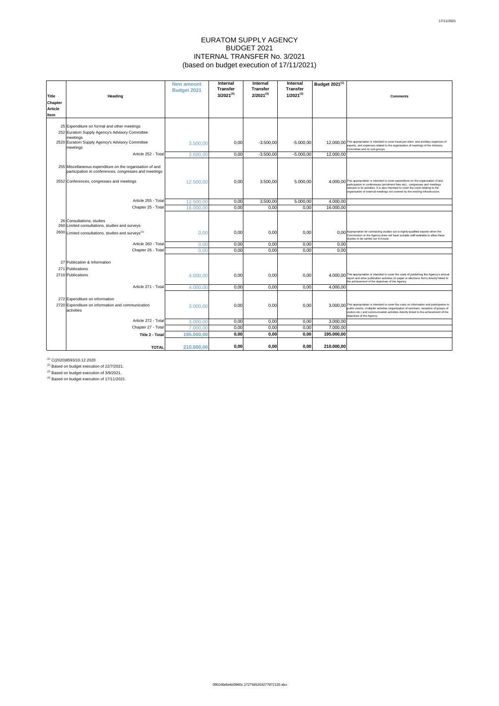# EURATOM SUPPLY AGENCY BUDGET 2021 INTERNAL TRANSFER No. 3/2021 (based on budget execution of 17/11/2021)

 $^{(1)}$  C(2020)8593/10.12.2020

 $(2)$  Based on budget execution of 22/7/2021.

 $^{(3)}$  Based on budget execution of 3/9/2021.

 $^{(4)}$  Based on budget execution of 17/11/2021.

|                                |                                                                 | <b>New amount</b>  | <b>Internal</b><br><b>Transfer</b> | <b>Internal</b><br><b>Transfer</b> | <b>Internal</b>                   | Budget 2021 <sup>(1)</sup> |                                                                                                                                                                                          |
|--------------------------------|-----------------------------------------------------------------|--------------------|------------------------------------|------------------------------------|-----------------------------------|----------------------------|------------------------------------------------------------------------------------------------------------------------------------------------------------------------------------------|
|                                |                                                                 | <b>Budget 2021</b> | $3/2021^{(4)}$                     | $2/2021^{(3)}$                     | <b>Transfer</b><br>$1/2021^{(2)}$ |                            | <b>Comments</b>                                                                                                                                                                          |
| <b>Title</b><br><b>Chapter</b> | <b>Heading</b>                                                  |                    |                                    |                                    |                                   |                            |                                                                                                                                                                                          |
| <b>Article</b>                 |                                                                 |                    |                                    |                                    |                                   |                            |                                                                                                                                                                                          |
| Item                           |                                                                 |                    |                                    |                                    |                                   |                            |                                                                                                                                                                                          |
|                                |                                                                 |                    |                                    |                                    |                                   |                            |                                                                                                                                                                                          |
|                                | 25 Expenditure on formal and other meetings                     |                    |                                    |                                    |                                   |                            |                                                                                                                                                                                          |
|                                | 252 Euratom Supply Agency's Advisory Committee                  |                    |                                    |                                    |                                   |                            |                                                                                                                                                                                          |
|                                | meetings<br>2520 Euratom Supply Agency's Advisory Committee     | 3.500,00           | 0,00                               | $-3.500,00$                        | $-5.000,00$                       |                            | 12.000,00 This appropriation is intended to cover travel, per-diem and ancillary expenses of                                                                                             |
|                                | meetings                                                        |                    |                                    |                                    |                                   |                            | experts, and expenses related to the organisation of meetings of the Advisory<br>Committee and its sub-groups.                                                                           |
|                                | Article 252 - Total                                             | 3.500,00           | 0,00                               | $-3.500,00$                        | $-5.000,00$                       | 12.000,00                  |                                                                                                                                                                                          |
|                                |                                                                 |                    |                                    |                                    |                                   |                            |                                                                                                                                                                                          |
|                                | 255 Miscellaneous expenditure on the organisation of and        |                    |                                    |                                    |                                   |                            |                                                                                                                                                                                          |
|                                | participation in conferences, congresses and meetings           |                    |                                    |                                    |                                   |                            |                                                                                                                                                                                          |
|                                | 2552 Conferences, congresses and meetings                       | 12.500,00          | 0,00                               | 3.500,00                           | 5.000,00                          |                            | 4.000,00 This appropriation is intended to cover expenditure on the organisation of and<br>participation in conferences (enrolment fees etc)., congresses and meetings                   |
|                                |                                                                 |                    |                                    |                                    |                                   |                            | relevant to its activities. It is also intended to cover the costs relating to the                                                                                                       |
|                                |                                                                 |                    |                                    |                                    |                                   |                            | organisation of external meetings not covered by the existing infrastructure.                                                                                                            |
|                                | Article 255 - Total                                             | 12.500,00          | 0,00                               | 3.500,00                           | 5.000,00                          | 4.000,00                   |                                                                                                                                                                                          |
|                                | Chapter 25 - Total                                              | 16.000,00          | 0,00                               | 0,00                               | 0,00                              | 16.000,00                  |                                                                                                                                                                                          |
|                                |                                                                 |                    |                                    |                                    |                                   |                            |                                                                                                                                                                                          |
|                                | 26 Consultations, studies                                       |                    |                                    |                                    |                                   |                            |                                                                                                                                                                                          |
|                                | 260 Limited consultations, studies and surveys                  |                    |                                    |                                    |                                   |                            |                                                                                                                                                                                          |
|                                | 2600 Limited consultations, studies and surveys <sup>(1)</sup>  | 0,00               | 0,00                               | 0,00                               | 0,00                              |                            | 0,00 Appropriation for contracting studies out to highly-qualified experts when the<br>Commission or the Agency does not have suitable staff available to allow these                    |
|                                | Article 260 - Total                                             | 0,00               | 0,00                               | 0,00                               | 0,00                              | 0,00                       | studies to be carried out in-house.                                                                                                                                                      |
|                                | Chapter 26 - Total                                              | 0,00               | 0,00                               | 0,00                               | 0,00                              | 0,00                       |                                                                                                                                                                                          |
|                                |                                                                 |                    |                                    |                                    |                                   |                            |                                                                                                                                                                                          |
|                                | 27 Publication & Information                                    |                    |                                    |                                    |                                   |                            |                                                                                                                                                                                          |
|                                | 271 Publications                                                |                    |                                    |                                    |                                   |                            |                                                                                                                                                                                          |
|                                | 2710 Publications                                               | 4.000,00           | 0,00                               | 0,00                               | 0,00                              |                            | 4.000,00 This appropriation is intended to cover the costs of publishing the Agency's annual<br>report and other publication activities (in paper or electronic form) directly linked to |
|                                |                                                                 |                    |                                    |                                    |                                   |                            | the achievement of the objectives of the Agency.                                                                                                                                         |
|                                | Article 271 - Total                                             | 4.000,00           | 0,00                               | 0,00                               | 0,00                              | 4.000,00                   |                                                                                                                                                                                          |
|                                |                                                                 |                    |                                    |                                    |                                   |                            |                                                                                                                                                                                          |
|                                | 272 Expenditure on information                                  |                    |                                    |                                    |                                   |                            | 3.000,00 This appropriation is intended to cover the costs on information and participation in                                                                                           |
|                                | 2720 Expenditure on information and communication<br>activities | 3.000,00           | 0,00                               | 0,00                               | 0,00                              |                            | public events, multiplier activities (organisation of seminars, reception of groups of                                                                                                   |
|                                |                                                                 |                    |                                    |                                    |                                   |                            | visitors etc.) and communication activities directly linked to the achievement of the<br>objectives of the Agency.                                                                       |
|                                | Article 272 - Total                                             | 3.000,00           | 0,00                               | 0,00                               | 0,00                              | 3.000,00                   |                                                                                                                                                                                          |
|                                | Chapter 27 - Total                                              | 7.000,00           | 0,00                               | 0,00                               | 0,00                              | 7.000,00                   |                                                                                                                                                                                          |
|                                | Title 2 - Total                                                 | 195.000,00         | 0,00                               | 0,00                               | 0,00                              | 195.000,00                 |                                                                                                                                                                                          |
|                                |                                                                 |                    |                                    |                                    |                                   |                            |                                                                                                                                                                                          |
|                                | <b>TOTAL</b>                                                    | 210.000,00         | 0,00                               | 0,00                               | 0,00                              | 210.000,00                 |                                                                                                                                                                                          |

#### 090166e5e4d3960c.2727565263277872120.xlsx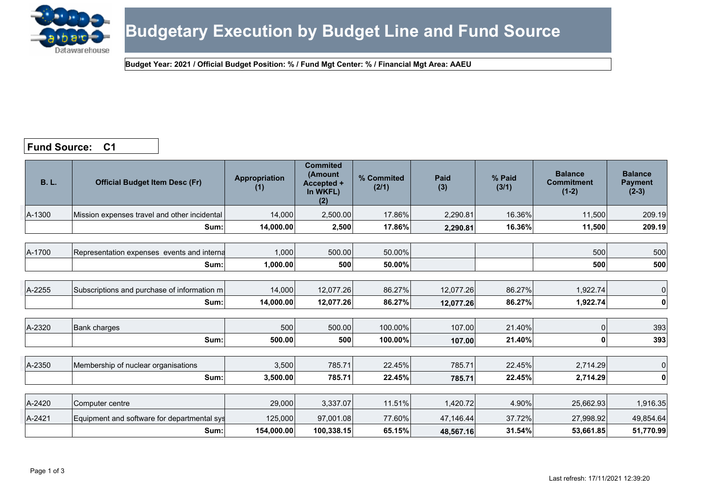

## **Fund Source: C1**

| <b>B.L.</b> | <b>Official Budget Item Desc (Fr)</b>        | <b>Appropriation</b><br>(1) | <b>Commited</b><br>(Amount<br>Accepted +<br>In WKFL)<br>(2) | % Commited<br>(2/1) | Paid<br>(3) | % Paid<br>(3/1) | <b>Balance</b><br><b>Commitment</b><br>$(1-2)$ | <b>Balance</b><br><b>Payment</b><br>$(2-3)$ |
|-------------|----------------------------------------------|-----------------------------|-------------------------------------------------------------|---------------------|-------------|-----------------|------------------------------------------------|---------------------------------------------|
| A-1300      | Mission expenses travel and other incidental | 14,000                      | 2,500.00                                                    | 17.86%              | 2,290.81    | 16.36%          | 11,500                                         | 209.19                                      |
|             | Sum:                                         | 14,000.00                   | 2,500                                                       | 17.86%              | 2,290.81    | 16.36%          | 11,500                                         | 209.19                                      |
|             |                                              |                             |                                                             |                     |             |                 |                                                |                                             |
| A-1700      | Representation expenses events and interna   | 1,000                       | 500.00                                                      | 50.00%              |             |                 | 500                                            | 500                                         |
|             | Sum:                                         | 1,000.00                    | 500                                                         | 50.00%              |             |                 | 500                                            | 500                                         |
|             |                                              |                             |                                                             |                     |             |                 |                                                |                                             |
| A-2255      | Subscriptions and purchase of information m  | 14,000                      | 12,077.26                                                   | 86.27%              | 12,077.26   | 86.27%          | 1,922.74                                       | 0                                           |
|             | Sum:                                         | 14,000.00                   | 12,077.26                                                   | 86.27%              | 12,077.26   | 86.27%          | 1,922.74                                       | $\mathbf 0$                                 |
|             |                                              |                             |                                                             |                     |             |                 |                                                |                                             |
| A-2320      | <b>Bank charges</b>                          | 500                         | 500.00                                                      | 100.00%             | 107.00      | 21.40%          | 0                                              | 393                                         |
|             | Sum:                                         | 500.00                      | 500                                                         | 100.00%             | 107.00      | 21.40%          | 0                                              | 393                                         |
|             |                                              |                             |                                                             |                     |             |                 |                                                |                                             |
| A-2350      | Membership of nuclear organisations          | 3,500                       | 785.71                                                      | 22.45%              | 785.71      | 22.45%          | 2,714.29                                       | $\mathbf 0$                                 |
|             | Sum:                                         | 3,500.00                    | 785.71                                                      | 22.45%              | 785.71      | 22.45%          | 2,714.29                                       | $\mathbf{0}$                                |
|             |                                              |                             |                                                             |                     |             |                 |                                                |                                             |
| A-2420      | Computer centre                              | 29,000                      | 3,337.07                                                    | 11.51%              | 1,420.72    | 4.90%           | 25,662.93                                      | 1,916.35                                    |
| A-2421      | Equipment and software for departmental sys  | 125,000                     | 97,001.08                                                   | 77.60%              | 47,146.44   | 37.72%          | 27,998.92                                      | 49,854.64                                   |
|             | Sum:                                         | 154,000.00                  | 100,338.15                                                  | 65.15%              | 48,567.16   | 31.54%          | 53,661.85                                      | 51,770.99                                   |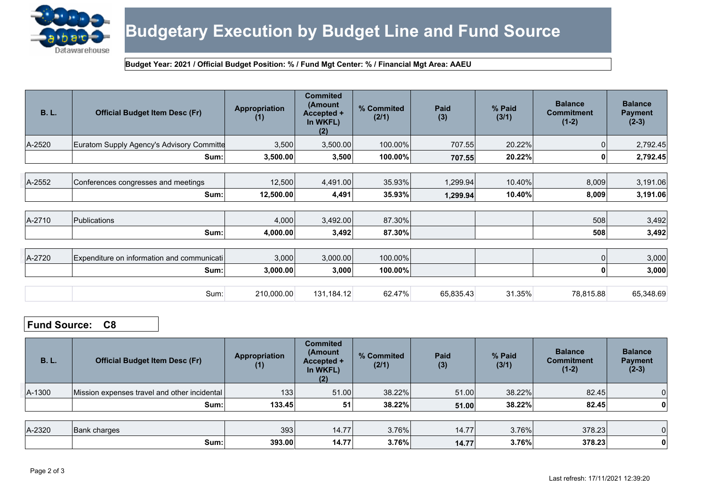

# **Budgetary Execution by Budget Line and Fund Source**

#### **Budget Year: 2021 / Official Budget Position: % / Fund Mgt Center: % / Financial Mgt Area: AAEU**

| <b>B.L.</b> | <b>Official Budget Item Desc (Fr)</b>      | <b>Appropriation</b><br>(1) | <b>Commited</b><br>(Amount<br>Accepted +<br>In WKFL)<br>(2) | % Commited<br>(2/1) | <b>Paid</b><br>(3) | % Paid<br>(3/1) | <b>Balance</b><br><b>Commitment</b><br>$(1-2)$ | <b>Balance</b><br><b>Payment</b><br>$(2-3)$ |
|-------------|--------------------------------------------|-----------------------------|-------------------------------------------------------------|---------------------|--------------------|-----------------|------------------------------------------------|---------------------------------------------|
| A-2520      | Euratom Supply Agency's Advisory Committe  | 3,500                       | 3,500.00                                                    | 100.00%             | 707.55             | 20.22%          | 0                                              | 2,792.45                                    |
|             | Sum:                                       | 3,500.00                    | 3,500                                                       | 100.00%             | 707.55             | 20.22%          | $\mathbf 0$                                    | 2,792.45                                    |
|             |                                            |                             |                                                             |                     |                    |                 |                                                |                                             |
| A-2552      | Conferences congresses and meetings        | 12,500                      | 4,491.00                                                    | 35.93%              | 1,299.94           | 10.40%          | 8,009                                          | 3,191.06                                    |
|             | Sum:                                       | 12,500.00                   | 4,491                                                       | 35.93%              | 1,299.94           | 10.40%          | 8,009                                          | 3,191.06                                    |
|             |                                            |                             |                                                             |                     |                    |                 |                                                |                                             |
| A-2710      | Publications                               | 4,000                       | 3,492.00                                                    | 87.30%              |                    |                 | 508                                            | 3,492                                       |
|             | Sum:                                       | 4,000.00                    | 3,492                                                       | 87.30%              |                    |                 | 508                                            | 3,492                                       |
|             |                                            |                             |                                                             |                     |                    |                 |                                                |                                             |
| A-2720      | Expenditure on information and communicati | 3,000                       | 3,000.00                                                    | 100.00%             |                    |                 | 0                                              | 3,000                                       |
|             | Sum:                                       | 3,000.00                    | 3,000                                                       | 100.00%             |                    |                 | 0                                              | 3,000                                       |
|             |                                            |                             |                                                             |                     |                    |                 |                                                |                                             |
|             | Sum:                                       | 210,000.00                  | 131,184.12                                                  | 62.47%              | 65,835.43          | 31.35%          | 78,815.88                                      | 65,348.69                                   |

# **Fund Source: C8**

| <b>B.L.</b> | <b>Official Budget Item Desc (Fr)</b>        | <b>Appropriation</b><br>(1) | <b>Commited</b><br>(Amount<br>Accepted +<br>In WKFL)<br>(2) | % Commited<br>(2/1) | <b>Paid</b><br>(3) | % Paid<br>(3/1) | <b>Balance</b><br><b>Commitment</b><br>$(1-2)$ | <b>Balance</b><br><b>Payment</b><br>$(2-3)$ |
|-------------|----------------------------------------------|-----------------------------|-------------------------------------------------------------|---------------------|--------------------|-----------------|------------------------------------------------|---------------------------------------------|
| A-1300      | Mission expenses travel and other incidental | 133                         | 51.00                                                       | 38.22%              | 51.00              | 38.22%          | 82.45                                          | $\overline{0}$                              |
|             | Sum:                                         | 133.45                      | 51                                                          | 38.22%              | 51.00              | 38.22%          | 82.45                                          | $\mathbf 0$                                 |
|             |                                              |                             |                                                             |                     |                    |                 |                                                |                                             |
| A-2320      | Bank charges                                 | 393                         | 14.77                                                       | 3.76%               | 14.77              | 3.76%           | 378.23                                         | $\overline{0}$                              |
|             | Sum:                                         | 393.00                      | 14.77                                                       | 3.76%               | 14.77              | 3.76%           | 378.23                                         | $\mathbf 0$                                 |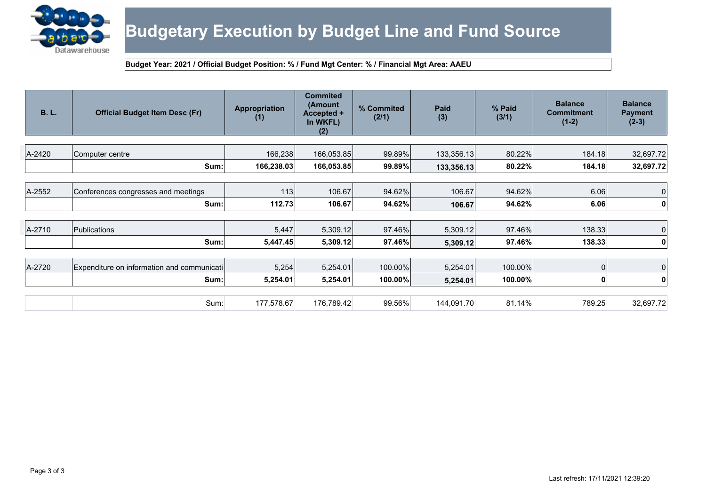

# **Budgetary Execution by Budget Line and Fund Source**

#### **Budget Year: 2021 / Official Budget Position: % / Fund Mgt Center: % / Financial Mgt Area: AAEU**

| <b>B.L.</b> | <b>Official Budget Item Desc (Fr)</b>      | Appropriation<br>(1) | <b>Commited</b><br>(Amount<br>Accepted +<br>In WKFL)<br>(2) | % Commited<br>(2/1) | Paid<br>(3) | % Paid<br>(3/1) | <b>Balance</b><br><b>Commitment</b><br>$(1-2)$ | <b>Balance</b><br><b>Payment</b><br>$(2-3)$ |
|-------------|--------------------------------------------|----------------------|-------------------------------------------------------------|---------------------|-------------|-----------------|------------------------------------------------|---------------------------------------------|
|             |                                            |                      |                                                             |                     |             |                 |                                                |                                             |
| A-2420      | Computer centre                            | 166,238              | 166,053.85                                                  | 99.89%              | 133,356.13  | 80.22%          | 184.18                                         | 32,697.72                                   |
|             | Sum:                                       | 166,238.03           | 166,053.85                                                  | 99.89%              | 133,356.13  | 80.22%          | 184.18                                         | 32,697.72                                   |
|             |                                            |                      |                                                             |                     |             |                 |                                                |                                             |
| A-2552      | Conferences congresses and meetings        | 113                  | 106.67                                                      | 94.62%              | 106.67      | 94.62%          | 6.06                                           | 0                                           |
|             | Sum:                                       | 112.73               | 106.67                                                      | 94.62%              | 106.67      | 94.62%          | 6.06                                           | 0                                           |
|             |                                            |                      |                                                             |                     |             |                 |                                                |                                             |
| A-2710      | Publications                               | 5,447                | 5,309.12                                                    | 97.46%              | 5,309.12    | 97.46%          | 138.33                                         | 0                                           |
|             | Sum:                                       | 5,447.45             | 5,309.12                                                    | 97.46%              | 5,309.12    | 97.46%          | 138.33                                         | 0                                           |
|             |                                            |                      |                                                             |                     |             |                 |                                                |                                             |
| A-2720      | Expenditure on information and communicati | 5,254                | 5,254.01                                                    | 100.00%             | 5,254.01    | 100.00%         |                                                | $\mathbf 0$                                 |
|             | Sum:                                       | 5,254.01             | 5,254.01                                                    | 100.00%             | 5,254.01    | 100.00%         |                                                | 0                                           |
|             |                                            |                      |                                                             |                     |             |                 |                                                |                                             |
|             | Sum:                                       | 177,578.67           | 176,789.42                                                  | 99.56%              | 144,091.70  | 81.14%          | 789.25                                         | 32,697.72                                   |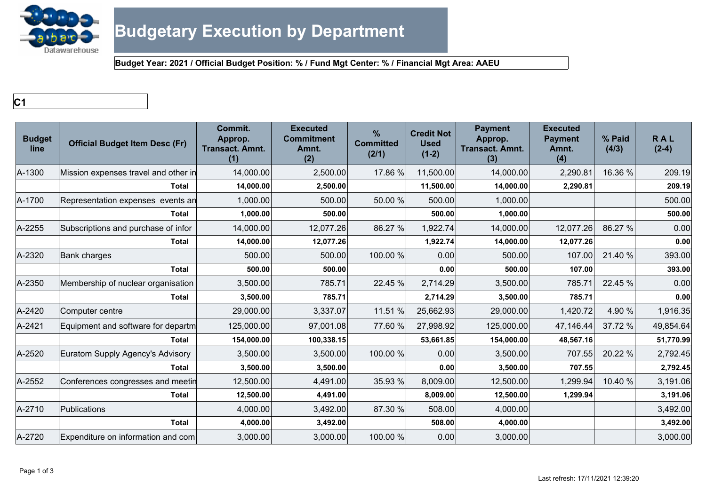

**C1**

| <b>Budget</b><br>line | <b>Official Budget Item Desc (Fr)</b> | Commit.<br>Approp.<br><b>Transact. Amnt.</b><br>(1) | <b>Executed</b><br><b>Commitment</b><br>Amnt.<br>(2) | $\%$<br><b>Committed</b><br>(2/1) | <b>Credit Not</b><br><b>Used</b><br>$(1-2)$ | <b>Payment</b><br>Approp.<br><b>Transact. Amnt.</b><br>(3) | <b>Executed</b><br><b>Payment</b><br>Amnt.<br>(4) | % Paid<br>(4/3) | <b>RAL</b><br>$(2-4)$ |
|-----------------------|---------------------------------------|-----------------------------------------------------|------------------------------------------------------|-----------------------------------|---------------------------------------------|------------------------------------------------------------|---------------------------------------------------|-----------------|-----------------------|
| A-1300                | Mission expenses travel and other in  | 14,000.00                                           | 2,500.00                                             | 17.86 %                           | 11,500.00                                   | 14,000.00                                                  | 2,290.81                                          | 16.36 %         | 209.19                |
|                       | <b>Total</b>                          | 14,000.00                                           | 2,500.00                                             |                                   | 11,500.00                                   | 14,000.00                                                  | 2,290.81                                          |                 | 209.19                |
| A-1700                | Representation expenses events an     | 1,000.00                                            | 500.00                                               | 50.00 %                           | 500.00                                      | 1,000.00                                                   |                                                   |                 | 500.00                |
|                       | <b>Total</b>                          | 1,000.00                                            | 500.00                                               |                                   | 500.00                                      | 1,000.00                                                   |                                                   |                 | 500.00                |
| A-2255                | Subscriptions and purchase of infor   | 14,000.00                                           | 12,077.26                                            | 86.27 %                           | 1,922.74                                    | 14,000.00                                                  | 12,077.26                                         | 86.27 %         | 0.00                  |
|                       | <b>Total</b>                          | 14,000.00                                           | 12,077.26                                            |                                   | 1,922.74                                    | 14,000.00                                                  | 12,077.26                                         |                 | 0.00                  |
| A-2320                | <b>Bank charges</b>                   | 500.00                                              | 500.00                                               | 100.00 %                          | 0.00                                        | 500.00                                                     | 107.00                                            | 21.40 %         | 393.00                |
|                       | <b>Total</b>                          | 500.00                                              | 500.00                                               |                                   | 0.00                                        | 500.00                                                     | 107.00                                            |                 | 393.00                |
| A-2350                | Membership of nuclear organisation    | 3,500.00                                            | 785.71                                               | 22.45 %                           | 2,714.29                                    | 3,500.00                                                   | 785.71                                            | 22.45 %         | 0.00                  |
|                       | <b>Total</b>                          | 3,500.00                                            | 785.71                                               |                                   | 2,714.29                                    | 3,500.00                                                   | 785.71                                            |                 | 0.00                  |
| A-2420                | Computer centre                       | 29,000.00                                           | 3,337.07                                             | 11.51 %                           | 25,662.93                                   | 29,000.00                                                  | 1,420.72                                          | 4.90 %          | 1,916.35              |
| A-2421                | Equipment and software for departm    | 125,000.00                                          | 97,001.08                                            | 77.60 %                           | 27,998.92                                   | 125,000.00                                                 | 47,146.44                                         | 37.72 %         | 49,854.64             |
|                       | Total                                 | 154,000.00                                          | 100,338.15                                           |                                   | 53,661.85                                   | 154,000.00                                                 | 48,567.16                                         |                 | 51,770.99             |
| A-2520                | Euratom Supply Agency's Advisory      | 3,500.00                                            | 3,500.00                                             | 100.00 %                          | 0.00                                        | 3,500.00                                                   | 707.55                                            | 20.22 %         | 2,792.45              |
|                       | <b>Total</b>                          | 3,500.00                                            | 3,500.00                                             |                                   | 0.00                                        | 3,500.00                                                   | 707.55                                            |                 | 2,792.45              |
| A-2552                | Conferences congresses and meetin     | 12,500.00                                           | 4,491.00                                             | 35.93 %                           | 8,009.00                                    | 12,500.00                                                  | 1,299.94                                          | 10.40 %         | 3,191.06              |
|                       | <b>Total</b>                          | 12,500.00                                           | 4,491.00                                             |                                   | 8,009.00                                    | 12,500.00                                                  | 1,299.94                                          |                 | 3,191.06              |
| A-2710                | Publications                          | 4,000.00                                            | 3,492.00                                             | 87.30 %                           | 508.00                                      | 4,000.00                                                   |                                                   |                 | 3,492.00              |
|                       | <b>Total</b>                          | 4,000.00                                            | 3,492.00                                             |                                   | 508.00                                      | 4,000.00                                                   |                                                   |                 | 3,492.00              |
| A-2720                | Expenditure on information and com    | 3,000.00                                            | 3,000.00                                             | 100.00 %                          | 0.00                                        | 3,000.00                                                   |                                                   |                 | 3,000.00              |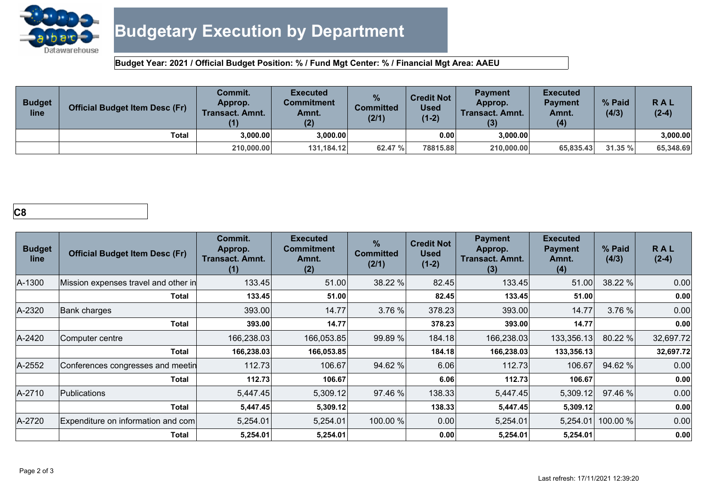

| <b>Budget</b><br>line | <b>Official Budget Item Desc (Fr)</b> | <b>Commit.</b><br>Approp.<br><b>Transact. Amnt.</b><br>(1) | <b>Executed</b><br>Commitment<br>Amnt.<br>(2) | %<br><b>Committed</b><br>(2/1) | Credit Not $\,$ $\,$<br>Used<br>$(1-2)$ | <b>Payment</b><br>Approp.<br><b>Transact, Amnt.</b> | <b>Executed</b><br><b>Payment</b><br>Amnt.<br>(4) | % Paid<br>(4/3) | RAL<br>$(2-4)$ |
|-----------------------|---------------------------------------|------------------------------------------------------------|-----------------------------------------------|--------------------------------|-----------------------------------------|-----------------------------------------------------|---------------------------------------------------|-----------------|----------------|
|                       | <b>Total</b>                          | 3,000.00                                                   | 3.000.00                                      |                                | 0.00                                    | 3.000.00                                            |                                                   |                 | 3,000.00       |
|                       |                                       | 210,000.00                                                 | 131,184.12                                    | 62.47 %                        | 78815.88                                | 210.000.00                                          | 65,835.43                                         | 31.35 %         | 65,348.69      |

# **C8**

| <b>Budget</b><br>line | <b>Official Budget Item Desc (Fr)</b> | <b>Commit.</b><br>Approp.<br><b>Transact. Amnt.</b><br>(1) | <b>Executed</b><br><b>Commitment</b><br>Amnt.<br>(2) | $\frac{9}{6}$<br><b>Committed</b><br>(2/1) | <b>Credit Not</b><br><b>Used</b><br>$(1-2)$ | <b>Payment</b><br>Approp.<br><b>Transact, Amnt.</b><br>(3) | <b>Executed</b><br><b>Payment</b><br>Amnt.<br>(4) | % Paid<br>(4/3) | <b>RAL</b><br>$(2-4)$ |
|-----------------------|---------------------------------------|------------------------------------------------------------|------------------------------------------------------|--------------------------------------------|---------------------------------------------|------------------------------------------------------------|---------------------------------------------------|-----------------|-----------------------|
| A-1300                | Mission expenses travel and other in  | 133.45                                                     | 51.00                                                | 38.22 %                                    | 82.45                                       | 133.45                                                     | 51.00                                             | 38.22 %         | 0.00                  |
|                       | <b>Total</b>                          | 133.45                                                     | 51.00                                                |                                            | 82.45                                       | 133.45                                                     | 51.00                                             |                 | 0.00                  |
| A-2320                | <b>Bank charges</b>                   | 393.00                                                     | 14.77                                                | 3.76 %                                     | 378.23                                      | 393.00                                                     | 14.77                                             | 3.76 %          | 0.00                  |
|                       | <b>Total</b>                          | 393.00                                                     | 14.77                                                |                                            | 378.23                                      | 393.00                                                     | 14.77                                             |                 | 0.00                  |
| A-2420                | Computer centre                       | 166,238.03                                                 | 166,053.85                                           | 99.89 %                                    | 184.18                                      | 166,238.03                                                 | 133,356.13                                        | 80.22 %         | 32,697.72             |
|                       | <b>Total</b>                          | 166,238.03                                                 | 166,053.85                                           |                                            | 184.18                                      | 166,238.03                                                 | 133,356.13                                        |                 | 32,697.72             |
| A-2552                | Conferences congresses and meetin     | 112.73                                                     | 106.67                                               | 94.62 %                                    | 6.06                                        | 112.73                                                     | 106.67                                            | 94.62 %         | 0.00                  |
|                       | Total                                 | 112.73                                                     | 106.67                                               |                                            | 6.06                                        | 112.73                                                     | 106.67                                            |                 | 0.00                  |
| A-2710                | Publications                          | 5,447.45                                                   | 5,309.12                                             | 97.46 %                                    | 138.33                                      | 5,447.45                                                   | 5,309.12                                          | 97.46 %         | 0.00                  |
|                       | <b>Total</b>                          | 5,447.45                                                   | 5,309.12                                             |                                            | 138.33                                      | 5,447.45                                                   | 5,309.12                                          |                 | 0.00                  |
| A-2720                | Expenditure on information and com    | 5,254.01                                                   | 5,254.01                                             | 100.00 %                                   | 0.00                                        | 5,254.01                                                   | 5,254.01                                          | 100.00 %        | 0.00                  |
|                       | Total                                 | 5,254.01                                                   | 5,254.01                                             |                                            | 0.00                                        | 5,254.01                                                   | 5,254.01                                          |                 | 0.00                  |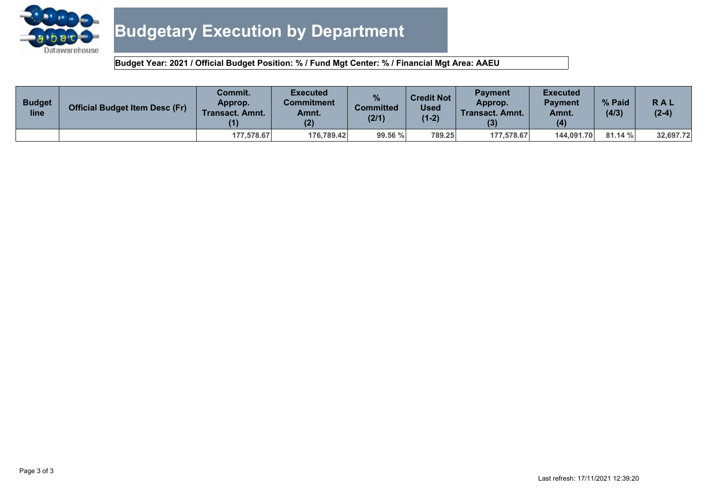

| <b>Budget</b><br>line | <b>Official Budget Item Desc (Fr)</b> | Commit.<br>Approp.<br><b>Transact. Amnt.</b> | <b>Executed</b><br>Commitment<br>Amnt.<br>(2) | <b>Committed</b><br>(2/1) | <b>Credit Not</b><br><b>Used</b><br>$(1-2)$ | <b>Payment</b><br>Approp.<br>Transact. Amnt. | <b>Executed</b><br><b>Pavment</b><br>Amnt.<br>(4) | % Paid<br>(4/3) | RAL<br>$(2-4)$ |
|-----------------------|---------------------------------------|----------------------------------------------|-----------------------------------------------|---------------------------|---------------------------------------------|----------------------------------------------|---------------------------------------------------|-----------------|----------------|
|                       |                                       | 177.578.67                                   | 176.789.42                                    | 99.56 %                   | 789.25                                      | 177.578.67                                   | 144.091.70                                        | 81.14%          | 32,697.72      |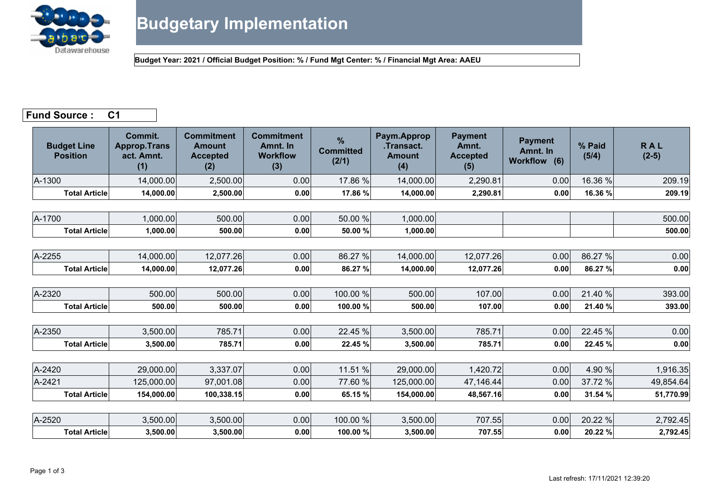

# **Fund Source : C1**

| <b>Budget Line</b><br><b>Position</b> | Commit.<br><b>Approp.Trans</b><br>act. Amnt.<br>(1) | <b>Commitment</b><br><b>Amount</b><br><b>Accepted</b><br>(2) | <b>Commitment</b><br>Amnt. In<br><b>Workflow</b><br>(3) | $\frac{9}{6}$<br><b>Committed</b><br>(2/1) | Paym.Approp<br>.Transact.<br><b>Amount</b><br>(4) | <b>Payment</b><br>Amnt.<br><b>Accepted</b><br>(5) | <b>Payment</b><br>Amnt. In<br>Workflow (6) | % Paid<br>(5/4) | <b>RAL</b><br>$(2-5)$ |
|---------------------------------------|-----------------------------------------------------|--------------------------------------------------------------|---------------------------------------------------------|--------------------------------------------|---------------------------------------------------|---------------------------------------------------|--------------------------------------------|-----------------|-----------------------|
| A-1300                                | 14,000.00                                           | 2,500.00                                                     | 0.00                                                    | 17.86 %                                    | 14,000.00                                         | 2,290.81                                          | 0.00                                       | 16.36 %         | 209.19                |
| <b>Total Article</b>                  | 14,000.00                                           | 2,500.00                                                     | 0.00                                                    | 17.86 %                                    | 14,000.00                                         | 2,290.81                                          | 0.00                                       | 16.36 %         | 209.19                |
|                                       |                                                     |                                                              |                                                         |                                            |                                                   |                                                   |                                            |                 |                       |
| A-1700                                | 1,000.00                                            | 500.00                                                       | 0.00                                                    | 50.00 %                                    | 1,000.00                                          |                                                   |                                            |                 | 500.00                |
| <b>Total Article</b>                  | 1,000.00                                            | 500.00                                                       | 0.00                                                    | 50.00 %                                    | 1,000.00                                          |                                                   |                                            |                 | 500.00                |
|                                       |                                                     |                                                              |                                                         |                                            |                                                   |                                                   |                                            |                 |                       |
| A-2255                                | 14,000.00                                           | 12,077.26                                                    | 0.00                                                    | 86.27 %                                    | 14,000.00                                         | 12,077.26                                         | 0.00                                       | 86.27 %         | 0.00                  |
| <b>Total Article</b>                  | 14,000.00                                           | 12,077.26                                                    | 0.00                                                    | 86.27 %                                    | 14,000.00                                         | 12,077.26                                         | 0.00                                       | 86.27 %         | 0.00                  |
|                                       |                                                     |                                                              |                                                         |                                            |                                                   |                                                   |                                            |                 |                       |
| A-2320                                | 500.00                                              | 500.00                                                       | 0.00                                                    | 100.00 %                                   | 500.00                                            | 107.00                                            | 0.00                                       | 21.40 %         | 393.00                |
| <b>Total Article</b>                  | 500.00                                              | 500.00                                                       | 0.00                                                    | 100.00 %                                   | 500.00                                            | 107.00                                            | 0.00                                       | 21.40 %         | 393.00                |
|                                       |                                                     |                                                              |                                                         |                                            |                                                   |                                                   |                                            |                 |                       |
| A-2350                                | 3,500.00                                            | 785.71                                                       | 0.00                                                    | 22.45 %                                    | 3,500.00                                          | 785.71                                            | 0.00                                       | 22.45 %         | 0.00                  |
| <b>Total Article</b>                  | 3,500.00                                            | 785.71                                                       | 0.00                                                    | 22.45 %                                    | 3,500.00                                          | 785.71                                            | 0.00                                       | 22.45 %         | 0.00                  |
|                                       |                                                     |                                                              |                                                         |                                            |                                                   |                                                   |                                            |                 |                       |
| A-2420                                | 29,000.00                                           | 3,337.07                                                     | 0.00                                                    | 11.51 %                                    | 29,000.00                                         | 1,420.72                                          | 0.00                                       | 4.90 %          | 1,916.35              |
| A-2421                                | 125,000.00                                          | 97,001.08                                                    | 0.00                                                    | 77.60 %                                    | 125,000.00                                        | 47,146.44                                         | 0.00                                       | 37.72 %         | 49,854.64             |
| <b>Total Article</b>                  | 154,000.00                                          | 100,338.15                                                   | 0.00                                                    | 65.15 %                                    | 154,000.00                                        | 48,567.16                                         | 0.00                                       | 31.54 %         | 51,770.99             |
|                                       |                                                     |                                                              |                                                         |                                            |                                                   |                                                   |                                            |                 |                       |
| A-2520                                | 3,500.00                                            | 3,500.00                                                     | 0.00                                                    | 100.00 %                                   | 3,500.00                                          | 707.55                                            | 0.00                                       | 20.22 %         | 2,792.45              |
| <b>Total Article</b>                  | 3,500.00                                            | 3,500.00                                                     | 0.00                                                    | 100.00 %                                   | 3,500.00                                          | 707.55                                            | 0.00                                       | 20.22 %         | 2,792.45              |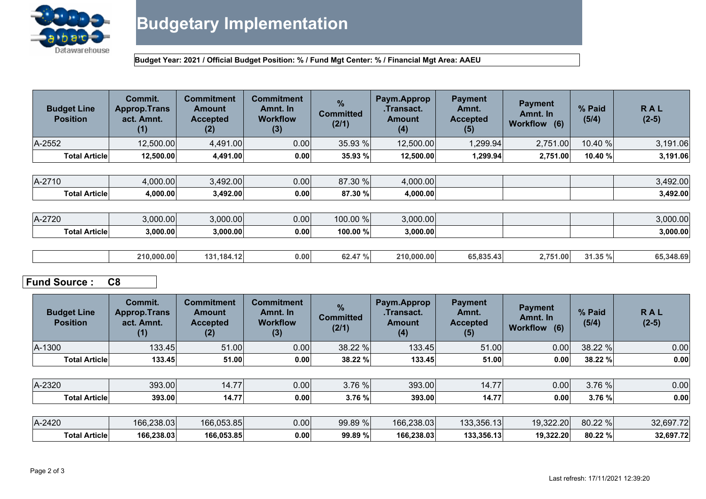

| <b>Budget Line</b><br><b>Position</b> | Commit.<br><b>Approp.Trans</b><br>act. Amnt.<br>(1) | <b>Commitment</b><br><b>Amount</b><br><b>Accepted</b><br>(2) | <b>Commitment</b><br>Amnt. In<br><b>Workflow</b><br>(3) | $\%$<br><b>Committed</b><br>(2/1) | Paym.Approp<br>.Transact.<br><b>Amount</b><br>(4) | <b>Payment</b><br>Amnt.<br><b>Accepted</b><br>(5) | <b>Payment</b><br>Amnt. In<br>Workflow (6) | % Paid<br>(5/4) | <b>RAL</b><br>$(2-5)$ |
|---------------------------------------|-----------------------------------------------------|--------------------------------------------------------------|---------------------------------------------------------|-----------------------------------|---------------------------------------------------|---------------------------------------------------|--------------------------------------------|-----------------|-----------------------|
| A-2552                                | 12,500.00                                           | 4,491.00                                                     | 0.00                                                    | 35.93 %                           | 12,500.00                                         | 1,299.94                                          | 2,751.00                                   | 10.40 %         | 3,191.06              |
| <b>Total Article</b>                  | 12,500.00                                           | 4,491.00                                                     | 0.00                                                    | 35.93 %                           | 12,500.00                                         | 1,299.94                                          | 2,751.00                                   | 10.40 %         | 3,191.06              |
|                                       |                                                     |                                                              |                                                         |                                   |                                                   |                                                   |                                            |                 |                       |
| A-2710                                | 4,000.00                                            | 3,492.00                                                     | 0.00                                                    | 87.30 %                           | 4,000.00                                          |                                                   |                                            |                 | 3,492.00              |
| <b>Total Article</b>                  | 4,000.00                                            | 3,492.00                                                     | 0.00                                                    | 87.30 %                           | 4,000.00                                          |                                                   |                                            |                 | 3,492.00              |
|                                       |                                                     |                                                              |                                                         |                                   |                                                   |                                                   |                                            |                 |                       |
| A-2720                                | 3,000.00                                            | 3,000.00                                                     | 0.00                                                    | 100.00 %                          | 3,000.00                                          |                                                   |                                            |                 | 3,000.00              |
| <b>Total Article</b>                  | 3,000.00                                            | 3,000.00                                                     | 0.00                                                    | 100.00 %                          | 3,000.00                                          |                                                   |                                            |                 | 3,000.00              |
|                                       |                                                     |                                                              |                                                         |                                   |                                                   |                                                   |                                            |                 |                       |
|                                       | 210,000.00                                          | 131,184.12                                                   | 0.00                                                    | 62.47 %                           | 210,000.00                                        | 65,835.43                                         | 2,751.00                                   | 31.35 %         | 65,348.69             |

# **Fund Source : C8**

| <b>Budget Line</b><br><b>Position</b> | Commit.<br><b>Approp.Trans</b><br>act. Amnt.<br>(1) | <b>Commitment</b><br><b>Amount</b><br><b>Accepted</b><br>(2) | <b>Commitment</b><br>Amnt. In<br><b>Workflow</b><br>(3) | $\frac{9}{6}$<br><b>Committed</b><br>(2/1) | Paym.Approp<br>.Transact.<br><b>Amount</b><br>(4) | <b>Payment</b><br>Amnt.<br><b>Accepted</b><br>(5) | <b>Payment</b><br>Amnt. In<br>Workflow (6) | % Paid<br>(5/4) | <b>RAL</b><br>$(2-5)$ |
|---------------------------------------|-----------------------------------------------------|--------------------------------------------------------------|---------------------------------------------------------|--------------------------------------------|---------------------------------------------------|---------------------------------------------------|--------------------------------------------|-----------------|-----------------------|
| A-1300                                | 133.45                                              | 51.00                                                        | 0.00                                                    | 38.22 %                                    | 133.45                                            | 51.00                                             | 0.00                                       | 38.22 %         | 0.00                  |
| <b>Total Article</b>                  | 133.45                                              | 51.00                                                        | 0.00                                                    | 38.22 %                                    | 133.45                                            | 51.00                                             | 0.00                                       | 38.22 %         | 0.00                  |
|                                       |                                                     |                                                              |                                                         |                                            |                                                   |                                                   |                                            |                 |                       |
| A-2320                                | 393.00                                              | 14.77                                                        | 0.00                                                    | 3.76 %                                     | 393.00                                            | 14.77                                             | 0.00                                       | 3.76 %          | 0.00                  |
| <b>Total Article</b>                  | 393.00                                              | 14.77                                                        | 0.00                                                    | 3.76 %                                     | 393.00                                            | 14.77                                             | 0.00                                       | 3.76 %          | 0.00                  |
|                                       |                                                     |                                                              |                                                         |                                            |                                                   |                                                   |                                            |                 |                       |
| A-2420                                | 166,238.03                                          | 166,053.85                                                   | 0.00                                                    | 99.89 %                                    | 166,238.03                                        | 133,356.13                                        | 19,322.20                                  | 80.22 %         | 32,697.72             |
| <b>Total Article</b>                  | 166,238.03                                          | 166,053.85                                                   | 0.00                                                    | 99.89 %                                    | 166,238.03                                        | 133,356.13                                        | 19,322.20                                  | 80.22 %         | 32,697.72             |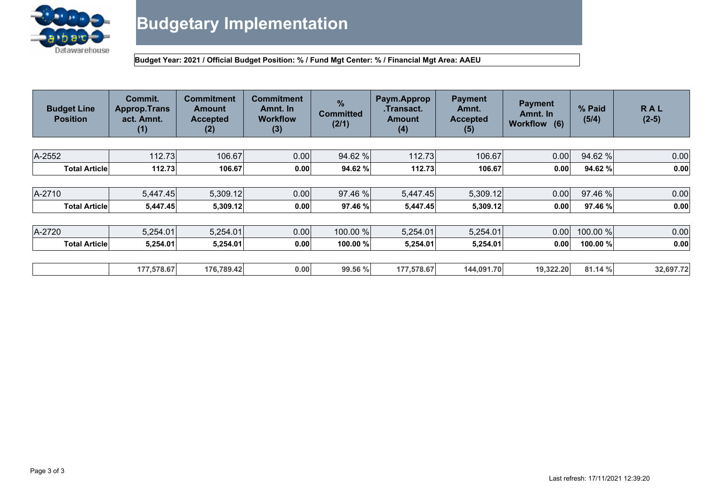

| <b>Budget Line</b><br><b>Position</b> | Commit.<br><b>Approp.Trans</b><br>act. Amnt.<br>(1) | <b>Commitment</b><br><b>Amount</b><br><b>Accepted</b><br>(2) | <b>Commitment</b><br>Amnt. In<br><b>Workflow</b><br>(3) | $\frac{9}{6}$<br><b>Committed</b><br>(2/1) | Paym.Approp<br>.Transact.<br><b>Amount</b><br>(4) | <b>Payment</b><br>Amnt.<br><b>Accepted</b><br>(5) | <b>Payment</b><br>Amnt. In<br>Workflow (6) | % Paid<br>(5/4) | <b>RAL</b><br>$(2-5)$ |
|---------------------------------------|-----------------------------------------------------|--------------------------------------------------------------|---------------------------------------------------------|--------------------------------------------|---------------------------------------------------|---------------------------------------------------|--------------------------------------------|-----------------|-----------------------|
|                                       |                                                     |                                                              |                                                         |                                            |                                                   |                                                   |                                            |                 |                       |
| A-2552                                | 112.73                                              | 106.67                                                       | 0.00                                                    | 94.62 %                                    | 112.73                                            | 106.67                                            | 0.00                                       | 94.62 %         | 0.00                  |
| <b>Total Article</b>                  | 112.73                                              | 106.67                                                       | 0.00                                                    | 94.62 %                                    | 112.73                                            | 106.67                                            | 0.00                                       | 94.62 %         | 0.00                  |
|                                       |                                                     |                                                              |                                                         |                                            |                                                   |                                                   |                                            |                 |                       |
| A-2710                                | 5,447.45                                            | 5,309.12                                                     | 0.00                                                    | 97.46 %                                    | 5,447.45                                          | 5,309.12                                          | 0.00                                       | 97.46 %         | 0.00                  |
| <b>Total Article</b>                  | 5,447.45                                            | 5,309.12                                                     | 0.00                                                    | 97.46 %                                    | 5,447.45                                          | 5,309.12                                          | 0.00                                       | 97.46 %         | 0.00                  |
|                                       |                                                     |                                                              |                                                         |                                            |                                                   |                                                   |                                            |                 |                       |
| A-2720                                | 5,254.01                                            | 5,254.01                                                     | 0.00                                                    | 100.00 %                                   | 5,254.01                                          | 5,254.01                                          | 0.00                                       | 100.00 %        | 0.00                  |
| <b>Total Article</b>                  | 5,254.01                                            | 5,254.01                                                     | 0.00                                                    | 100.00 %                                   | 5,254.01                                          | 5,254.01                                          | 0.00                                       | 100.00 %        | 0.00                  |
|                                       |                                                     |                                                              |                                                         |                                            |                                                   |                                                   |                                            |                 |                       |
|                                       | 177,578.67                                          | 176,789.42                                                   | 0.00                                                    | 99.56 %                                    | 177,578.67                                        | 144,091.70                                        | 19,322.20                                  | 81.14 %         | 32,697.72             |